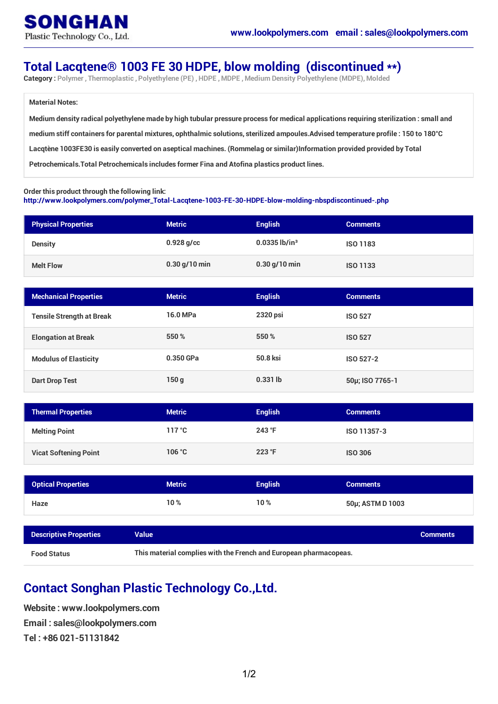## **Total Lacqtene® 1003 FE 30 HDPE, blow molding (discontinued \*\*)**

**Category : Polymer , Thermoplastic , Polyethylene (PE) ,HDPE ,MDPE ,Medium Density Polyethylene (MDPE),Molded**

## **Material Notes:**

Medium density radical polyethylene made by high tubular pressure process for medical applications requiring sterilization : small and medium stiff containers for parental mixtures, ophthalmic solutions, sterilized ampoules. Advised temperature profile: 150 to 180°C Lacqtène 1003FE30 is easily converted on aseptical machines. (Rommelag or similar)Information provided provided by Total **Petrochemicals.Total Petrochemicals includes former Fina and Atofina plastics product lines.**

## **Order this product through the following link:**

**[http://www.lookpolymers.com/polymer\\_Total-Lacqtene-1003-FE-30-HDPE-blow-molding-nbspdiscontinued-.php](http://www.lookpolymers.com/polymer_Total-Lacqtene-1003-FE-30-HDPE-blow-molding-nbspdiscontinued-.php)**

| <b>Physical Properties</b> | <b>Metric</b>   | <b>English</b>              | <b>Comments</b> |
|----------------------------|-----------------|-----------------------------|-----------------|
| <b>Density</b>             | $0.928$ g/cc    | $0.0335$ lb/in <sup>3</sup> | <b>ISO 1183</b> |
| <b>Melt Flow</b>           | $0.30$ g/10 min | $0.30$ g/10 min             | <b>ISO 1133</b> |

| <b>Mechanical Properties</b>     | <b>Metric</b> | <b>English</b> | <b>Comments</b>  |
|----------------------------------|---------------|----------------|------------------|
| <b>Tensile Strength at Break</b> | 16.0 MPa      | 2320 psi       | <b>ISO 527</b>   |
| <b>Elongation at Break</b>       | 550 %         | 550 %          | <b>ISO 527</b>   |
| <b>Modulus of Elasticity</b>     | 0.350 GPa     | 50.8 ksi       | <b>ISO 527-2</b> |
| Dart Drop Test                   | 150q          | $0.331$ lb     | 50µ; ISO 7765-1  |

| <b>Thermal Properties</b>    | <b>Metric</b> | <b>English</b> | <b>Comments</b> |
|------------------------------|---------------|----------------|-----------------|
| <b>Melting Point</b>         | 117 °C        | $243$ °F       | ISO 11357-3     |
| <b>Vicat Softening Point</b> | 106 °C        | $223$ °F       | <b>ISO 306</b>  |

| <b>Optical Properties</b> | <b>Metric</b> | <b>English</b> | <b>Comments</b>  |
|---------------------------|---------------|----------------|------------------|
| Haze                      | 10%           | 10%            | 50µ; ASTM D 1003 |

| <b>Descriptive Properties</b> | Value                                                             | <b>Comments</b> |
|-------------------------------|-------------------------------------------------------------------|-----------------|
| <b>Food Status</b>            | This material complies with the French and European pharmacopeas. |                 |

## **Contact Songhan Plastic Technology Co.,Ltd.**

**Website : www.lookpolymers.com Email : sales@lookpolymers.com Tel : +86 021-51131842**